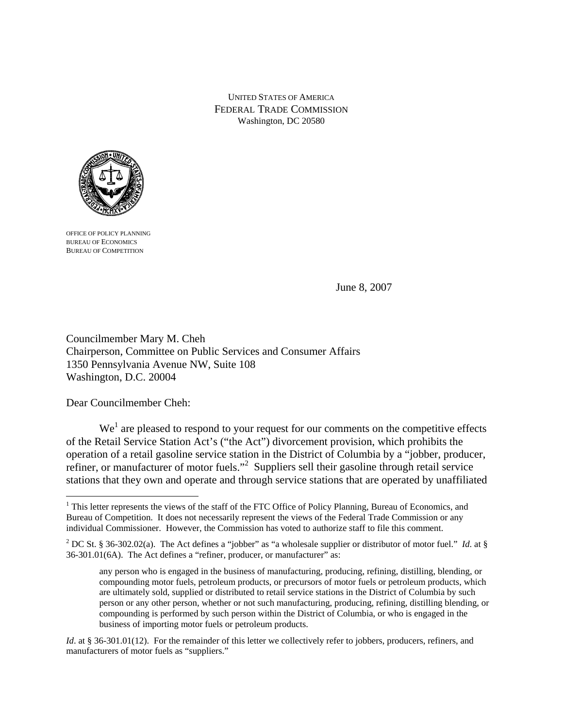UNITED STATES OF AMERICA FEDERAL TRADE COMMISSION Washington, DC 20580



OFFICE OF POLICY PLANNING BUREAU OF ECONOMICS BUREAU OF COMPETITION

June 8, 2007

Councilmember Mary M. Cheh Chairperson, Committee on Public Services and Consumer Affairs 1350 Pennsylvania Avenue NW, Suite 108 Washington, D.C. 20004

Dear Councilmember Cheh:

 $\overline{a}$ 

 $We<sup>1</sup>$  are pleased to respond to your request for our comments on the competitive effects of the Retail Service Station Act's ("the Act") divorcement provision, which prohibits the operation of a retail gasoline service station in the District of Columbia by a "jobber, producer, refiner, or manufacturer of motor fuels."<sup>2</sup> Suppliers sell their gasoline through retail service stations that they own and operate and through service stations that are operated by unaffiliated

<sup>&</sup>lt;sup>1</sup> This letter represents the views of the staff of the FTC Office of Policy Planning, Bureau of Economics, and Bureau of Competition. It does not necessarily represent the views of the Federal Trade Commission or any individual Commissioner. However, the Commission has voted to authorize staff to file this comment.

<sup>&</sup>lt;sup>2</sup> DC St. § 36-302.02(a). The Act defines a "jobber" as "a wholesale supplier or distributor of motor fuel." *Id.* at § 36-301.01(6A). The Act defines a "refiner, producer, or manufacturer" as:

any person who is engaged in the business of manufacturing, producing, refining, distilling, blending, or compounding motor fuels, petroleum products, or precursors of motor fuels or petroleum products, which are ultimately sold, supplied or distributed to retail service stations in the District of Columbia by such person or any other person, whether or not such manufacturing, producing, refining, distilling blending, or compounding is performed by such person within the District of Columbia, or who is engaged in the business of importing motor fuels or petroleum products.

*Id.* at § 36-301.01(12). For the remainder of this letter we collectively refer to jobbers, producers, refiners, and manufacturers of motor fuels as "suppliers."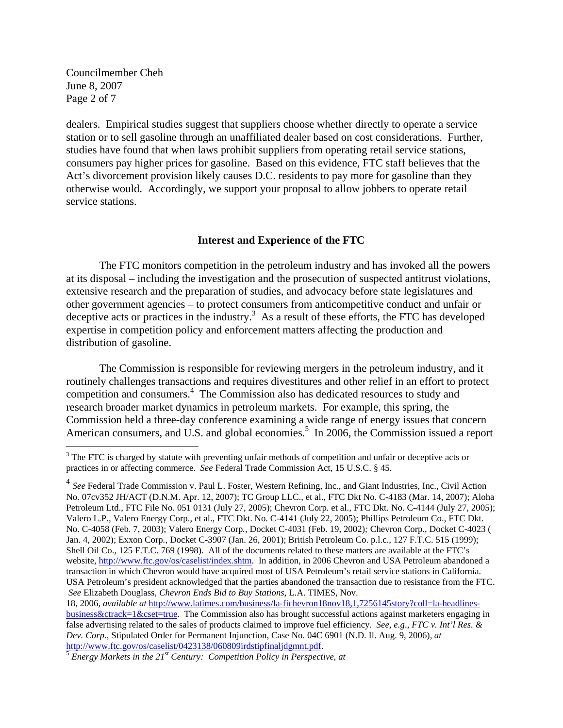Councilmember Cheh June 8, 2007 Page 2 of 7

 $\overline{a}$ 

dealers. Empirical studies suggest that suppliers choose whether directly to operate a service station or to sell gasoline through an unaffiliated dealer based on cost considerations. Further, studies have found that when laws prohibit suppliers from operating retail service stations, consumers pay higher prices for gasoline. Based on this evidence, FTC staff believes that the Act's divorcement provision likely causes D.C. residents to pay more for gasoline than they otherwise would. Accordingly, we support your proposal to allow jobbers to operate retail service stations.

## **Interest and Experience of the FTC**

 The FTC monitors competition in the petroleum industry and has invoked all the powers at its disposal – including the investigation and the prosecution of suspected antitrust violations, extensive research and the preparation of studies, and advocacy before state legislatures and other government agencies – to protect consumers from anticompetitive conduct and unfair or deceptive acts or practices in the industry.<sup>3</sup> As a result of these efforts, the FTC has developed expertise in competition policy and enforcement matters affecting the production and distribution of gasoline.

The Commission is responsible for reviewing mergers in the petroleum industry, and it routinely challenges transactions and requires divestitures and other relief in an effort to protect competition and consumers.<sup>4</sup> The Commission also has dedicated resources to study and research broader market dynamics in petroleum markets. For example, this spring, the Commission held a three-day conference examining a wide range of energy issues that concern American consumers, and U.S. and global economies.<sup>5</sup> In 2006, the Commission issued a report

 $3$  The FTC is charged by statute with preventing unfair methods of competition and unfair or deceptive acts or practices in or affecting commerce. *See* Federal Trade Commission Act, 15 U.S.C. § 45.

<sup>&</sup>lt;sup>4</sup> See Federal Trade Commission v. Paul L. Foster, Western Refining, Inc., and Giant Industries, Inc., Civil Action No. 07cv352 JH/ACT (D.N.M. Apr. 12, 2007); TC Group LLC., et al., FTC Dkt No. C-4183 (Mar. 14, 2007); Aloha Petroleum Ltd., FTC File No. 051 0131 (July 27, 2005); Chevron Corp. et al., FTC Dkt. No. C-4144 (July 27, 2005); Valero L.P., Valero Energy Corp., et al., FTC Dkt. No. C-4141 (July 22, 2005); Phillips Petroleum Co., FTC Dkt. No. C-4058 (Feb. 7, 2003); Valero Energy Corp*.*, Docket C-4031 (Feb. 19, 2002)*;* Chevron Corp., Docket C-4023 ( Jan. 4, 2002); Exxon Corp*.,* Docket C-3907 (Jan. 26, 2001); British Petroleum Co. p.l.c.*,* 127 F.T.C. 515 (1999); Shell Oil Co.*,* 125 F.T.C. 769 (1998). All of the documents related to these matters are available at the FTC's website, http://www.ftc.gov/os/caselist/index.shtm. In addition, in 2006 Chevron and USA Petroleum abandoned a transaction in which Chevron would have acquired most of USA Petroleum's retail service stations in California. USA Petroleum's president acknowledged that the parties abandoned the transaction due to resistance from the FTC. *See* Elizabeth Douglass*, Chevron Ends Bid to Buy Stations*, L.A. TIMES, Nov.

<sup>18, 2006,</sup> *available at* http://www.latimes.com/business/la-fichevron18nov18,1,7256145story?coll=la-headlinesbusiness&ctrack=1&cset=true. The Commission also has brought successful actions against marketers engaging in false advertising related to the sales of products claimed to improve fuel efficiency. *See*, *e.g*., *FTC v. Int'l Res. & Dev. Corp*., Stipulated Order for Permanent Injunction, Case No. 04C 6901 (N.D. Il. Aug. 9, 2006), *at* http://www.ftc.gov/os/caselist/0423138/060809irdstipfinaljdgmnt.pdf. 5 *Energy Markets in the 21st Century: Competition Policy in Perspective*, *at*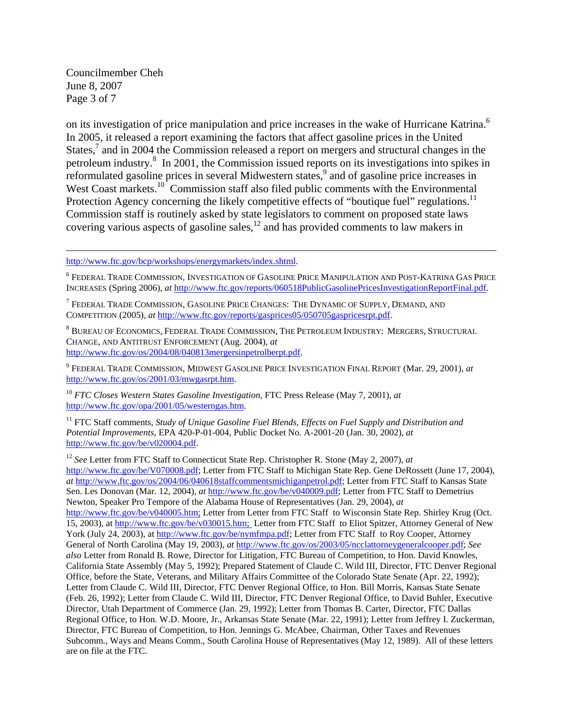Councilmember Cheh June 8, 2007 Page 3 of 7

<u>.</u>

on its investigation of price manipulation and price increases in the wake of Hurricane Katrina.<sup>6</sup> In 2005, it released a report examining the factors that affect gasoline prices in the United States,<sup>7</sup> and in 2004 the Commission released a report on mergers and structural changes in the petroleum industry.<sup>8</sup> In 2001, the Commission issued reports on its investigations into spikes in reformulated gasoline prices in several Midwestern states,<sup>9</sup> and of gasoline price increases in West Coast markets.<sup>10</sup> Commission staff also filed public comments with the Environmental Protection Agency concerning the likely competitive effects of "boutique fuel" regulations.<sup>11</sup> Commission staff is routinely asked by state legislators to comment on proposed state laws covering various aspects of gasoline sales,12 and has provided comments to law makers in

http://www.ftc.gov/bcp/workshops/energymarkets/index.shtml.

 $^6$  Federal Trade Commission, Investigation of Gasoline Price Manipulation and Post-Katrina Gas Price INCREASES (Spring 2006), *at* http://www.ftc.gov/reports/060518PublicGasolinePricesInvestigationReportFinal.pdf.

 $^7$  Federal Trade Commission, Gasoline Price Changes: The Dynamic of Supply, Demand, and COMPETITION (2005), *at* http://www.ftc.gov/reports/gasprices05/050705gaspricesrpt.pdf.

 $^8$  Bureau of Economics, Federal Trade Commission, The Petroleum Industry: Mergers, Structural CHANGE, AND ANTITRUST ENFORCEMENT (Aug. 2004), *at* http://www.ftc.gov/os/2004/08/040813mergersinpetrolberpt.pdf.

9 FEDERAL TRADE COMMISSION, MIDWEST GASOLINE PRICE INVESTIGATION FINAL REPORT (Mar. 29, 2001), *at* http://www.ftc.gov/os/2001/03/mwgasrpt.htm.

<sup>10</sup> *FTC Closes Western States Gasoline Investigation, FTC Press Release (May 7, 2001), at* http://www.ftc.gov/opa/2001/05/westerngas.htm.

<sup>11</sup> FTC Staff comments, *Study of Unique Gasoline Fuel Blends, Effects on Fuel Supply and Distribution and Potential Improvements,* EPA 420-P-01-004, Public Docket No. A-2001-20 (Jan. 30, 2002), *at* http://www.ftc.gov/be/v020004.pdf.

<sup>12</sup> *See* Letter from FTC Staff to Connecticut State Rep. Christopher R. Stone (May 2, 2007), *at* http://www.ftc.gov/be/V070008.pdf; Letter from FTC Staff to Michigan State Rep. Gene DeRossett (June 17, 2004), *at* http://www.ftc.gov/os/2004/06/040618staffcommentsmichiganpetrol.pdf; Letter from FTC Staff to Kansas State Sen. Les Donovan (Mar. 12, 2004), *at* http://www.ftc.gov/be/v040009.pdf; Letter from FTC Staff to Demetrius Newton, Speaker Pro Tempore of the Alabama House of Representatives (Jan. 29, 2004), *at* http://www.ftc.gov/be/v040005.htm; Letter from Letter from FTC Staff to Wisconsin State Rep. Shirley Krug (Oct. 15, 2003), at http://www.ftc.gov/be/v030015.htm; Letter from FTC Staff to Eliot Spitzer, Attorney General of New York (July 24, 2003), at http://www.ftc.gov/be/nymfmpa.pdf; Letter from FTC Staff to Roy Cooper, Attorney General of North Carolina (May 19, 2003), *at* http://www.ftc.gov/os/2003/05/ncclattorneygeneralcooper.pdf; *See also* Letter from Ronald B. Rowe, Director for Litigation, FTC Bureau of Competition, to Hon. David Knowles, California State Assembly (May 5, 1992); Prepared Statement of Claude C. Wild III, Director, FTC Denver Regional Office, before the State, Veterans, and Military Affairs Committee of the Colorado State Senate (Apr. 22, 1992); Letter from Claude C. Wild III, Director, FTC Denver Regional Office, to Hon. Bill Morris, Kansas State Senate (Feb. 26, 1992); Letter from Claude C. Wild III, Director, FTC Denver Regional Office, to David Buhler, Executive Director, Utah Department of Commerce (Jan. 29, 1992); Letter from Thomas B. Carter, Director, FTC Dallas Regional Office, to Hon. W.D. Moore, Jr., Arkansas State Senate (Mar. 22, 1991); Letter from Jeffrey I. Zuckerman, Director, FTC Bureau of Competition, to Hon. Jennings G. McAbee, Chairman, Other Taxes and Revenues Subcomm., Ways and Means Comm., South Carolina House of Representatives (May 12, 1989). All of these letters are on file at the FTC.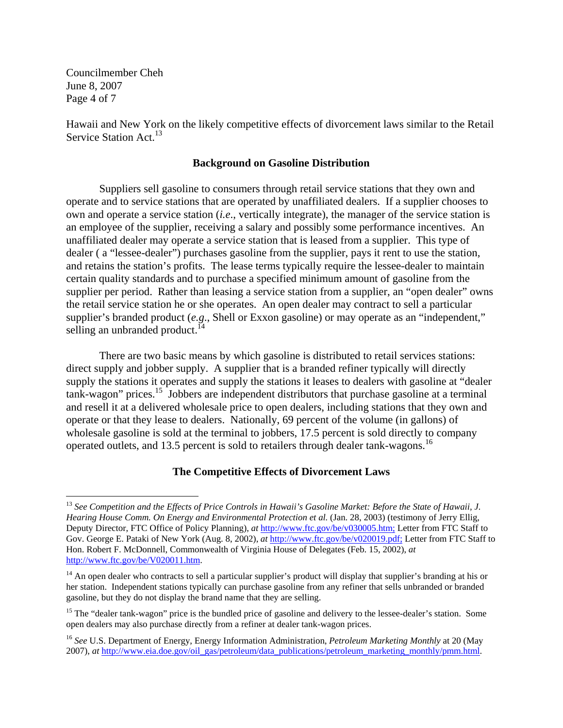Councilmember Cheh June 8, 2007 Page 4 of 7

 $\overline{a}$ 

Hawaii and New York on the likely competitive effects of divorcement laws similar to the Retail Service Station Act.<sup>13</sup>

## **Background on Gasoline Distribution**

 Suppliers sell gasoline to consumers through retail service stations that they own and operate and to service stations that are operated by unaffiliated dealers. If a supplier chooses to own and operate a service station (*i.e*., vertically integrate), the manager of the service station is an employee of the supplier, receiving a salary and possibly some performance incentives. An unaffiliated dealer may operate a service station that is leased from a supplier. This type of dealer ( a "lessee-dealer") purchases gasoline from the supplier, pays it rent to use the station, and retains the station's profits. The lease terms typically require the lessee-dealer to maintain certain quality standards and to purchase a specified minimum amount of gasoline from the supplier per period. Rather than leasing a service station from a supplier, an "open dealer" owns the retail service station he or she operates. An open dealer may contract to sell a particular supplier's branded product (*e.g*., Shell or Exxon gasoline) or may operate as an "independent," selling an unbranded product.<sup>14</sup>

 There are two basic means by which gasoline is distributed to retail services stations: direct supply and jobber supply. A supplier that is a branded refiner typically will directly supply the stations it operates and supply the stations it leases to dealers with gasoline at "dealer tank-wagon" prices.15 Jobbers are independent distributors that purchase gasoline at a terminal and resell it at a delivered wholesale price to open dealers, including stations that they own and operate or that they lease to dealers. Nationally, 69 percent of the volume (in gallons) of wholesale gasoline is sold at the terminal to jobbers, 17.5 percent is sold directly to company operated outlets, and 13.5 percent is sold to retailers through dealer tank-wagons.16

## **The Competitive Effects of Divorcement Laws**

<sup>13</sup> *See Competition and the Effects of Price Controls in Hawaii's Gasoline Market: Before the State of Hawaii, J. Hearing House Comm. On Energy and Environmental Protection et al.* (Jan. 28, 2003) (testimony of Jerry Ellig, Deputy Director, FTC Office of Policy Planning), *at* http://www.ftc.gov/be/v030005.htm; Letter from FTC Staff to Gov. George E. Pataki of New York (Aug. 8, 2002), *at* http://www.ftc.gov/be/v020019.pdf; Letter from FTC Staff to Hon. Robert F. McDonnell, Commonwealth of Virginia House of Delegates (Feb. 15, 2002), *at* http://www.ftc.gov/be/V020011.htm.

<sup>&</sup>lt;sup>14</sup> An open dealer who contracts to sell a particular supplier's product will display that supplier's branding at his or her station. Independent stations typically can purchase gasoline from any refiner that sells unbranded or branded gasoline, but they do not display the brand name that they are selling.

<sup>&</sup>lt;sup>15</sup> The "dealer tank-wagon" price is the bundled price of gasoline and delivery to the lessee-dealer's station. Some open dealers may also purchase directly from a refiner at dealer tank-wagon prices.

<sup>16</sup> *See* U.S. Department of Energy, Energy Information Administration, *Petroleum Marketing Monthly* at 20 (May 2007), *at* http://www.eia.doe.gov/oil\_gas/petroleum/data\_publications/petroleum\_marketing\_monthly/pmm.html.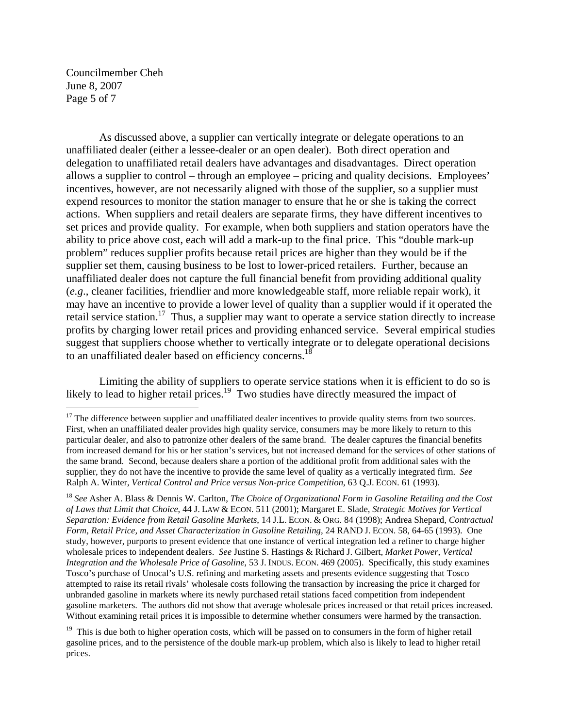Councilmember Cheh June 8, 2007 Page 5 of 7

 $\overline{a}$ 

 As discussed above, a supplier can vertically integrate or delegate operations to an unaffiliated dealer (either a lessee-dealer or an open dealer). Both direct operation and delegation to unaffiliated retail dealers have advantages and disadvantages. Direct operation allows a supplier to control – through an employee – pricing and quality decisions. Employees' incentives, however, are not necessarily aligned with those of the supplier, so a supplier must expend resources to monitor the station manager to ensure that he or she is taking the correct actions. When suppliers and retail dealers are separate firms, they have different incentives to set prices and provide quality. For example, when both suppliers and station operators have the ability to price above cost, each will add a mark-up to the final price. This "double mark-up problem" reduces supplier profits because retail prices are higher than they would be if the supplier set them, causing business to be lost to lower-priced retailers. Further, because an unaffiliated dealer does not capture the full financial benefit from providing additional quality (*e.g*., cleaner facilities, friendlier and more knowledgeable staff, more reliable repair work), it may have an incentive to provide a lower level of quality than a supplier would if it operated the retail service station.<sup>17</sup> Thus, a supplier may want to operate a service station directly to increase profits by charging lower retail prices and providing enhanced service. Several empirical studies suggest that suppliers choose whether to vertically integrate or to delegate operational decisions to an unaffiliated dealer based on efficiency concerns.<sup>18</sup>

 Limiting the ability of suppliers to operate service stations when it is efficient to do so is likely to lead to higher retail prices.<sup>19</sup> Two studies have directly measured the impact of

 $17$  The difference between supplier and unaffiliated dealer incentives to provide quality stems from two sources. First, when an unaffiliated dealer provides high quality service, consumers may be more likely to return to this particular dealer, and also to patronize other dealers of the same brand. The dealer captures the financial benefits from increased demand for his or her station's services, but not increased demand for the services of other stations of the same brand. Second, because dealers share a portion of the additional profit from additional sales with the supplier, they do not have the incentive to provide the same level of quality as a vertically integrated firm. *See* Ralph A. Winter, *Vertical Control and Price versus Non-price Competition*, 63 Q.J. ECON. 61 (1993).

<sup>18</sup> *See* Asher A. Blass & Dennis W. Carlton, *The Choice of Organizational Form in Gasoline Retailing and the Cost of Laws that Limit that Choice*, 44 J. LAW & ECON. 511 (2001); Margaret E. Slade, *Strategic Motives for Vertical Separation: Evidence from Retail Gasoline Markets*, 14 J.L. ECON. & ORG. 84 (1998); Andrea Shepard, *Contractual Form, Retail Price, and Asset Characterization in Gasoline Retailing*, 24 RAND J. ECON. 58, 64-65 (1993). One study, however, purports to present evidence that one instance of vertical integration led a refiner to charge higher wholesale prices to independent dealers. *See* Justine S. Hastings & Richard J. Gilbert, *Market Power, Vertical Integration and the Wholesale Price of Gasoline*, 53 J. INDUS. ECON. 469 (2005). Specifically, this study examines Tosco's purchase of Unocal's U.S. refining and marketing assets and presents evidence suggesting that Tosco attempted to raise its retail rivals' wholesale costs following the transaction by increasing the price it charged for unbranded gasoline in markets where its newly purchased retail stations faced competition from independent gasoline marketers. The authors did not show that average wholesale prices increased or that retail prices increased. Without examining retail prices it is impossible to determine whether consumers were harmed by the transaction.

<sup>&</sup>lt;sup>19</sup> This is due both to higher operation costs, which will be passed on to consumers in the form of higher retail gasoline prices, and to the persistence of the double mark-up problem, which also is likely to lead to higher retail prices.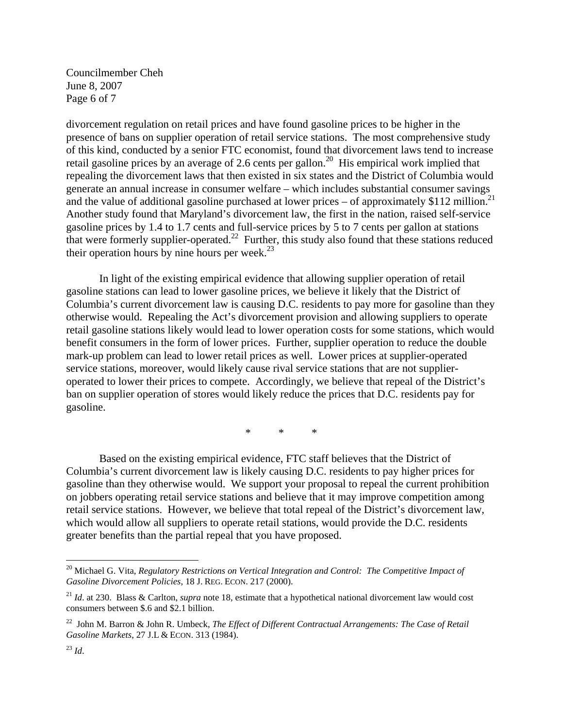Councilmember Cheh June 8, 2007 Page 6 of 7

divorcement regulation on retail prices and have found gasoline prices to be higher in the presence of bans on supplier operation of retail service stations. The most comprehensive study of this kind, conducted by a senior FTC economist, found that divorcement laws tend to increase retail gasoline prices by an average of 2.6 cents per gallon.<sup>20</sup> His empirical work implied that repealing the divorcement laws that then existed in six states and the District of Columbia would generate an annual increase in consumer welfare – which includes substantial consumer savings and the value of additional gasoline purchased at lower prices – of approximately \$112 million.<sup>21</sup> Another study found that Maryland's divorcement law, the first in the nation, raised self-service gasoline prices by 1.4 to 1.7 cents and full-service prices by 5 to 7 cents per gallon at stations that were formerly supplier-operated.<sup>22</sup> Further, this study also found that these stations reduced their operation hours by nine hours per week. $^{23}$ 

 In light of the existing empirical evidence that allowing supplier operation of retail gasoline stations can lead to lower gasoline prices, we believe it likely that the District of Columbia's current divorcement law is causing D.C. residents to pay more for gasoline than they otherwise would. Repealing the Act's divorcement provision and allowing suppliers to operate retail gasoline stations likely would lead to lower operation costs for some stations, which would benefit consumers in the form of lower prices. Further, supplier operation to reduce the double mark-up problem can lead to lower retail prices as well. Lower prices at supplier-operated service stations, moreover, would likely cause rival service stations that are not supplieroperated to lower their prices to compete. Accordingly, we believe that repeal of the District's ban on supplier operation of stores would likely reduce the prices that D.C. residents pay for gasoline.

\* \* \*

 Based on the existing empirical evidence, FTC staff believes that the District of Columbia's current divorcement law is likely causing D.C. residents to pay higher prices for gasoline than they otherwise would. We support your proposal to repeal the current prohibition on jobbers operating retail service stations and believe that it may improve competition among retail service stations. However, we believe that total repeal of the District's divorcement law, which would allow all suppliers to operate retail stations, would provide the D.C. residents greater benefits than the partial repeal that you have proposed.

 $\overline{a}$ 

<sup>&</sup>lt;sup>20</sup> Michael G. Vita, *Regulatory Restrictions on Vertical Integration and Control: The Competitive Impact of Gasoline Divorcement Policies*, 18 J. REG. ECON. 217 (2000).

<sup>21</sup> *Id*. at 230. Blass & Carlton, *supra* note 18, estimate that a hypothetical national divorcement law would cost consumers between \$.6 and \$2.1 billion.

<sup>22</sup> John M. Barron & John R. Umbeck, *The Effect of Different Contractual Arrangements: The Case of Retail Gasoline Markets*, 27 J.L & ECON. 313 (1984).

<sup>23</sup> *Id*.